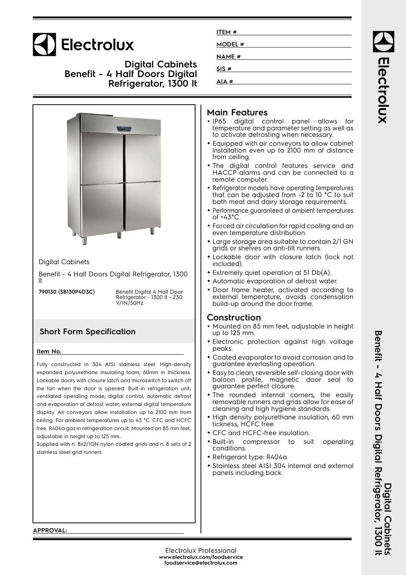# Electrolux

**Digital Cabinets Benefit - 4 Half Doors Digital Refrigerator, 1300 lt**



| ITEM#        |  |
|--------------|--|
| MODEL #      |  |
| <b>NAME#</b> |  |
| SIS#         |  |
| AIA#         |  |

#### **Main Features**

- IP65 digital control panel allows for temperature and parameter setting as well as to activate defrosting when necessary.
- Equipped with air conveyors to allow cabinet installation even up to 2100 mm of distance from ceiling.
- The digital control features service and HACCP alarms and can be connected to a remote computer.
- Refrigerator models have operating temperatures that can be adjusted from -2 to 10  $^{\circ}$ C to suit both meat and dairy storage requirements.
- Performance guaranteed at ambient temperatures
- Forced air circulation for rapid cooling and an even temperature distribution.
- Large storage area suitable to contain 2/1 GN grids or shelves on anti-tilt runners.
- Lockable door with closure latch (lock not
- Extremely quiet operation at 51 Db(A).
- Automatic evaporation of defrost water.
- Door frame heater, activated according to external temperature, avoids condensation build-up around the door frame.

#### **Construction**

- Mounted on 85 mm feet, adjustable in height up to 125 mm.
- Electronic protection against high voltage
- Coated evaporator to avoid corrosion and to guarantee everlasting operation.
- Easy to clean, reversible self-closing door with baloon profile, magnetic door seal to guarantee perfect closure.
- The rounded internal corners, the easily removable runners and grids allow for ease of cleaning and high hygiene standards.
- High density polyurethane insulation, 60 mm tickness, HCFC free.
- CFC and HCFC-free insulation.
- compressor to suit operating conditions.
- Refrigerant type: R404a.
- Stainless steel AISI 304 internal and external panels including back.

**APPROVAL:**